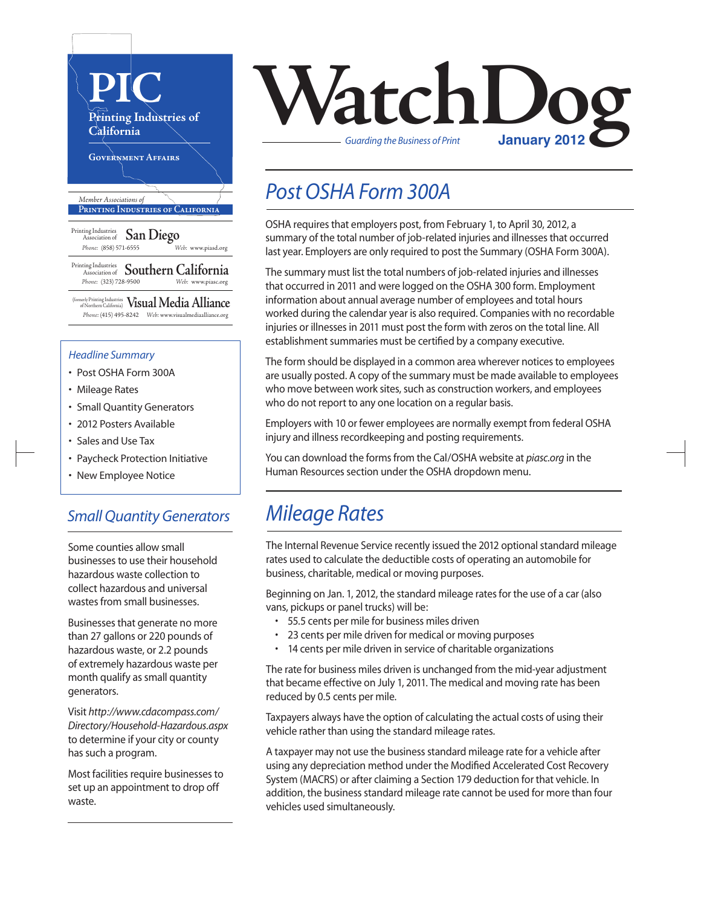

(formerly Printing Industries of Northern California) **Visual Media Alliance** *Phone:* (415) 495-8242 *Web:* www.visualmediaalliance.org

#### *Headline Summary*

- Post OSHA Form 300A
- Mileage Rates
- Small Quantity Generators
- 2012 Posters Available
- Sales and Use Tax
- Paycheck Protection Initiative
- New Employee Notice

#### *Small Quantity Generators*

Some counties allow small businesses to use their household hazardous waste collection to collect hazardous and universal wastes from small businesses.

Businesses that generate no more than 27 gallons or 220 pounds of hazardous waste, or 2.2 pounds of extremely hazardous waste per month qualify as small quantity generators.

Visit *http://www.cdacompass.com/ Directory/Household-Hazardous.aspx* to determine if your city or county has such a program.

Most facilities require businesses to set up an appointment to drop off waste.



### *Post OSHA Form 300A*

OSHA requires that employers post, from February 1, to April 30, 2012, a summary of the total number of job-related injuries and illnesses that occurred last year. Employers are only required to post the Summary (OSHA Form 300A).

The summary must list the total numbers of job-related injuries and illnesses that occurred in 2011 and were logged on the OSHA 300 form. Employment information about annual average number of employees and total hours worked during the calendar year is also required. Companies with no recordable injuries or illnesses in 2011 must post the form with zeros on the total line. All establishment summaries must be certified by a company executive.

The form should be displayed in a common area wherever notices to employees are usually posted. A copy of the summary must be made available to employees who move between work sites, such as construction workers, and employees who do not report to any one location on a regular basis.

Employers with 10 or fewer employees are normally exempt from federal OSHA injury and illness recordkeeping and posting requirements.

You can download the forms from the Cal/OSHA website at *piasc.org* in the Human Resources section under the OSHA dropdown menu.

### *Mileage Rates*

The Internal Revenue Service recently issued the 2012 optional standard mileage rates used to calculate the deductible costs of operating an automobile for business, charitable, medical or moving purposes.

Beginning on Jan. 1, 2012, the standard mileage rates for the use of a car (also vans, pickups or panel trucks) will be:

- 55.5 cents per mile for business miles driven
- 23 cents per mile driven for medical or moving purposes
- 14 cents per mile driven in service of charitable organizations

The rate for business miles driven is unchanged from the mid-year adjustment that became effective on July 1, 2011. The medical and moving rate has been reduced by 0.5 cents per mile.

Taxpayers always have the option of calculating the actual costs of using their vehicle rather than using the standard mileage rates.

A taxpayer may not use the business standard mileage rate for a vehicle after using any depreciation method under the Modified Accelerated Cost Recovery System (MACRS) or after claiming a Section 179 deduction for that vehicle. In addition, the business standard mileage rate cannot be used for more than four vehicles used simultaneously.